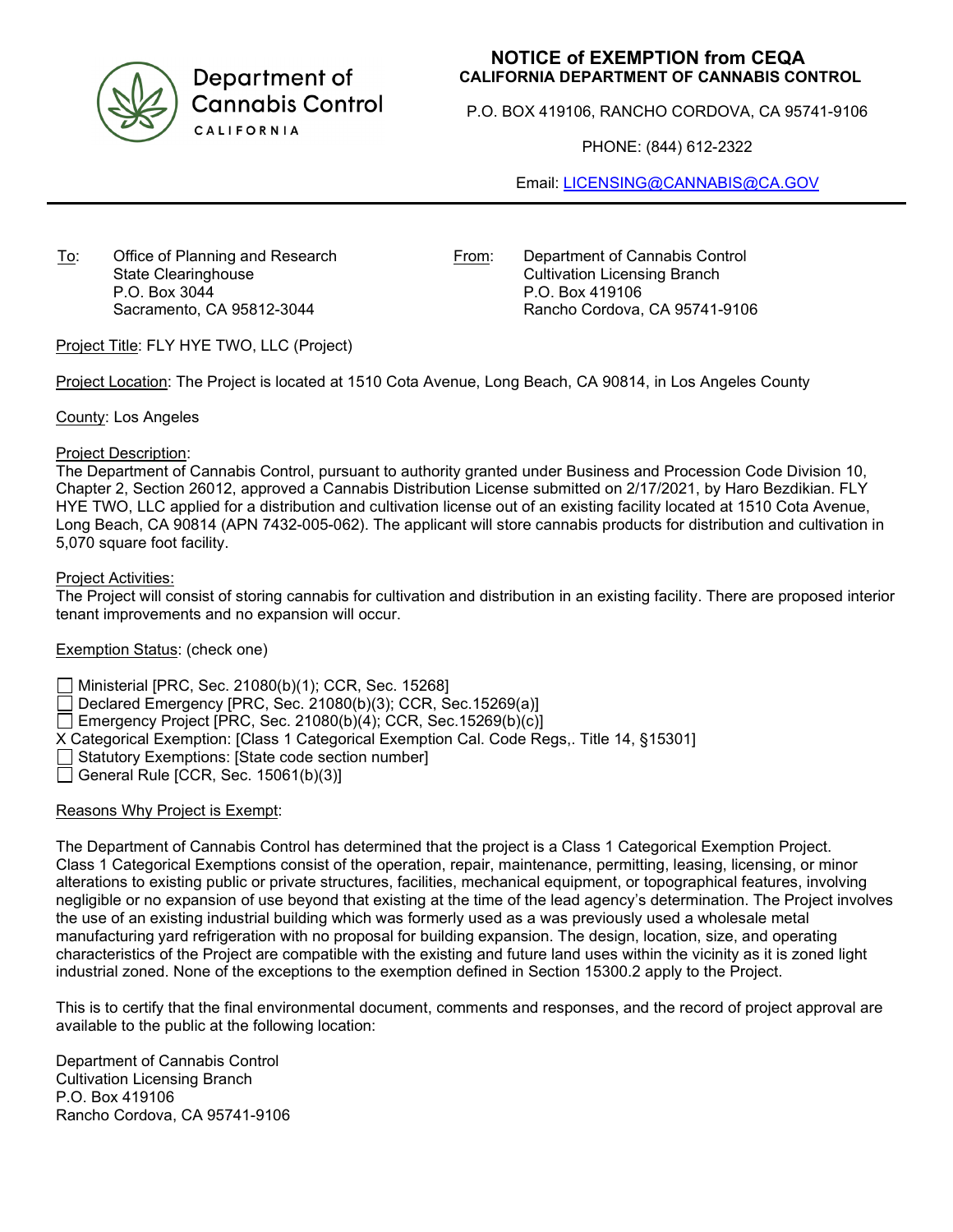

Department of **Cannabis Control** CALIFORNIA

## **NOTICE of EXEMPTION from CEQA CALIFORNIA DEPARTMENT OF CANNABIS CONTROL**

P.O. BOX 419106, RANCHO CORDOVA, CA 95741-9106

PHONE: (844) 612-2322

Email: [LICENSING@CANNABIS@CA.GOV](mailto:LICENSING@CANNABIS@CA.GOV)

To: Office of Planning and Research State Clearinghouse P.O. Box 3044 Sacramento, CA 95812-3044

From: Department of Cannabis Control Cultivation Licensing Branch P.O. Box 419106 Rancho Cordova, CA 95741-9106

Project Title: FLY HYE TWO, LLC (Project)

Project Location: The Project is located at 1510 Cota Avenue, Long Beach, CA 90814, in Los Angeles County

County: Los Angeles

## Project Description:

The Department of Cannabis Control, pursuant to authority granted under Business and Procession Code Division 10, Chapter 2, Section 26012, approved a Cannabis Distribution License submitted on 2/17/2021, by Haro Bezdikian. FLY HYE TWO, LLC applied for a distribution and cultivation license out of an existing facility located at 1510 Cota Avenue, Long Beach, CA 90814 (APN 7432-005-062). The applicant will store cannabis products for distribution and cultivation in 5,070 square foot facility.

## Project Activities:

The Project will consist of storing cannabis for cultivation and distribution in an existing facility. There are proposed interior tenant improvements and no expansion will occur.

Exemption Status: (check one)

Ministerial [PRC, Sec. 21080(b)(1); CCR, Sec. 15268]

Declared Emergency [PRC, Sec. 21080(b)(3); CCR, Sec.15269(a)]

Emergency Project [PRC, Sec. 21080(b)(4); CCR, Sec. 15269(b)(c)]

X Categorical Exemption: [Class 1 Categorical Exemption Cal. Code Regs,. Title 14, §15301]

Statutory Exemptions: [State code section number]

General Rule [CCR, Sec.  $15061(b)(3)$ ]

## Reasons Why Project is Exempt:

The Department of Cannabis Control has determined that the project is a Class 1 Categorical Exemption Project. Class 1 Categorical Exemptions consist of the operation, repair, maintenance, permitting, leasing, licensing, or minor alterations to existing public or private structures, facilities, mechanical equipment, or topographical features, involving negligible or no expansion of use beyond that existing at the time of the lead agency's determination. The Project involves the use of an existing industrial building which was formerly used as a was previously used a wholesale metal manufacturing yard refrigeration with no proposal for building expansion. The design, location, size, and operating characteristics of the Project are compatible with the existing and future land uses within the vicinity as it is zoned light industrial zoned. None of the exceptions to the exemption defined in Section 15300.2 apply to the Project.

This is to certify that the final environmental document, comments and responses, and the record of project approval are available to the public at the following location:

Department of Cannabis Control Cultivation Licensing Branch P.O. Box 419106 Rancho Cordova, CA 95741-9106